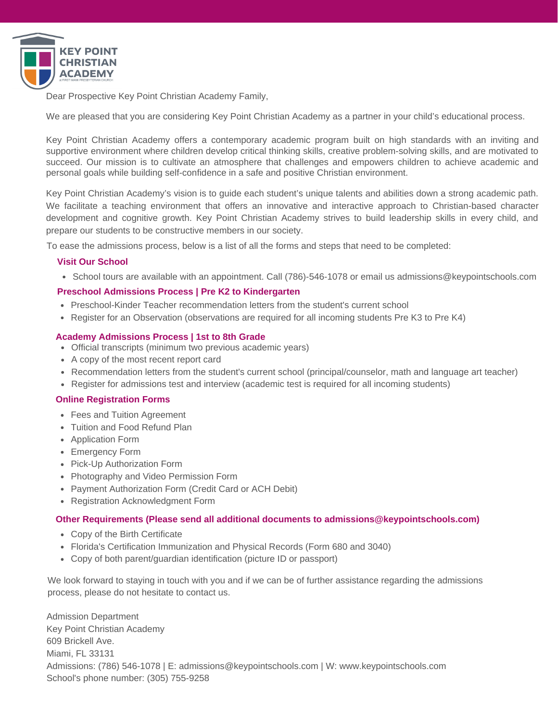

Dear Prospective Key Point Christian Academy Family,

We are pleased that you are considering Key Point Christian Academy as a partner in your child's educational process.

Key Point Christian Academy offers a contemporary academic program built on high standards with an inviting and supportive environment where children develop critical thinking skills, creative problem-solving skills, and are motivated to succeed. Our mission is to cultivate an atmosphere that challenges and empowers children to achieve academic and personal goals while building self-confidence in a safe and positive Christian environment.

Key Point Christian Academy's vision is to guide each student's unique talents and abilities down a strong academic path. We facilitate a teaching environment that offers an innovative and interactive approach to Christian-based character development and cognitive growth. Key Point Christian Academy strives to build leadership skills in every child, and prepare our students to be constructive members in our society.

To ease the admissions process, below is a list of all the forms and steps that need to be completed:

#### **Visit Our School**

• School tours are available with an appointment. Call (786)-546-1078 or email us admissions@keypointschools.com

#### **Preschool Admissions Process | Pre K2 to Kindergarten**

- Preschool-Kinder Teacher recommendation letters from the student's current school
- Register for an Observation (observations are required for all incoming students Pre K3 to Pre K4)

#### **Academy Admissions Process | 1st to 8th Grade**

- Official transcripts (minimum two previous academic years)
- A copy of the most recent report card
- Recommendation letters from the student's current school (principal/counselor, math and language art teacher)
- Register for admissions test and interview (academic test is required for all incoming students)

#### **Online Registration Forms**

- Fees and Tuition Agreement
- Tuition and Food Refund Plan
- Application Form
- Emergency Form
- Pick-Up Authorization Form
- Photography and Video Permission Form
- Payment Authorization Form (Credit Card or ACH Debit)
- Registration Acknowledgment Form

#### **Other Requirements (Please send all additional documents to admissions@keypointschools.com)**

- Copy of the Birth Certificate
- Florida's Certification Immunization and Physical Records (Form 680 and 3040)
- Copy of both parent/guardian identification (picture ID or passport)

We look forward to staying in touch with you and if we can be of further assistance regarding the admissions process, please do not hesitate to contact us.

Admission Department Key Point Christian Academy 609 Brickell Ave. Miami, FL 33131 Admissions: (786) 546-1078 | E: admissions@keypointschools.com | W: www.keypointschools.com School's phone number: (305) 755-9258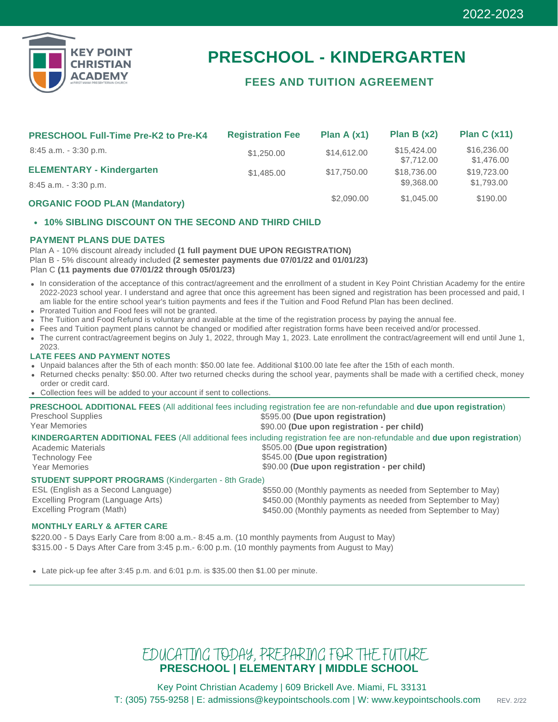

# **PRESCHOOL - KINDERGARTEN**

### **FEES AND TUITION AGREEMENT**

| <b>PRESCHOOL Full-Time Pre-K2 to Pre-K4</b> | <b>Registration Fee</b> | Plan A $(x1)$ | Plan B $(x2)$             | Plan C $(x11)$            |
|---------------------------------------------|-------------------------|---------------|---------------------------|---------------------------|
| $8:45$ a.m. $-3:30$ p.m.                    | \$1,250,00              | \$14,612.00   | \$15,424.00<br>\$7,712,00 | \$16,236.00<br>\$1,476.00 |
| <b>ELEMENTARY - Kindergarten</b>            | \$1,485.00              | \$17,750,00   | \$18,736,00               | \$19,723,00               |
| $8:45$ a.m. $-3:30$ p.m.                    |                         |               | \$9,368.00                | \$1,793.00                |
| <b>ORGANIC FOOD PLAN (Mandatory)</b>        |                         | \$2,090.00    | \$1,045.00                | \$190.00                  |

#### **10% SIBLING DISCOUNT ON THE SECOND AND THIRD CHILD**

#### **PAYMENT PLANS DUE DATES**

Plan A - 10% discount already included **(1 full payment DUE UPON REGISTRATION)** Plan B - 5% discount already included **(2 semester payments due 07/01/22 and 01/01/23)** Plan C **(11 payments due 07/01/22 through 05/01/23)**

- In consideration of the acceptance of this contract/agreement and the enrollment of a student in Key Point Christian Academy for the entire 2022-2023 school year. I understand and agree that once this agreement has been signed and registration has been processed and paid, I am liable for the entire school year's tuition payments and fees if the Tuition and Food Refund Plan has been declined.
- Prorated Tuition and Food fees will not be granted.
- The Tuition and Food Refund is voluntary and available at the time of the registration process by paying the annual fee.
- Fees and Tuition payment plans cannot be changed or modified after registration forms have been received and/or processed.
- The current contract/agreement begins on July 1, 2022, through May 1, 2023. Late enrollment the contract/agreement will end until June 1, 2023.

#### **LATE FEES AND PAYMENT NOTES**

- Unpaid balances after the 5th of each month: \$50.00 late fee. Additional \$100.00 late fee after the 15th of each month.
- Returned checks penalty: \$50.00. After two returned checks during the school year, payments shall be made with a certified check, money order or credit card.
- Collection fees will be added to your account if sent to collections.

|                                                            | PRESCHOOL ADDITIONAL FEES (All additional fees including registration fee are non-refundable and due upon registration)    |
|------------------------------------------------------------|----------------------------------------------------------------------------------------------------------------------------|
| Preschool Supplies                                         | \$595.00 (Due upon registration)                                                                                           |
| <b>Year Memories</b>                                       | \$90.00 (Due upon registration - per child)                                                                                |
|                                                            | KINDERGARTEN ADDITIONAL FEES (All additional fees including registration fee are non-refundable and due upon registration) |
| <b>Academic Materials</b>                                  | \$505.00 (Due upon registration)                                                                                           |
| <b>Technology Fee</b>                                      | \$545.00 (Due upon registration)                                                                                           |
| <b>Year Memories</b>                                       | \$90.00 (Due upon registration - per child)                                                                                |
| <b>STUDENT SUPPORT PROGRAMS</b> (Kindergarten - 8th Grade) |                                                                                                                            |
| ESL (English as a Second Language)                         | \$550.00 (Monthly payments as needed from September to May)                                                                |

### **MONTHLY EARLY & AFTER CARE**

Excelling Program (Language Arts)

Excelling Program (Math)

\$220.00 - 5 Days Early Care from 8:00 a.m.- 8:45 a.m. (10 monthly payments from August to May) \$315.00 - 5 Days After Care from 3:45 p.m.- 6:00 p.m. (10 monthly payments from August to May)

Late pick-up fee after 3:45 p.m. and 6:01 p.m. is \$35.00 then \$1.00 per minute.

## EDUCATING TODAY, PREPARING FOR THE FUTURE **PRESCHOOL | ELEMENTARY | MIDDLE SCHOOL**

Key Point Christian Academy | 609 Brickell Ave. Miami, FL 33131 T: (305) 755-9258 | E: admissions@keypointschools.com | W: www.keypointschools.com REV. 2/22

\$450.00 (Monthly payments as needed from September to May) \$450.00 (Monthly payments as needed from September to May)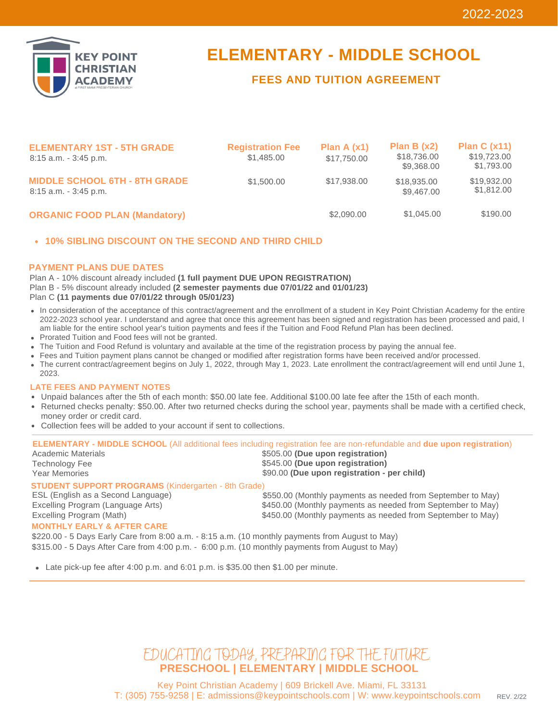

## **ELEMENTARY - MIDDLE SCHOOL**

### **FEES AND TUITION AGREEMENT**

| <b>ELEMENTARY 1ST - 5TH GRADE</b><br>$8:15$ a.m. $-3:45$ p.m.    | <b>Registration Fee</b><br>\$1,485,00 | Plan A $(x1)$<br>\$17,750,00 | Plan B $(x2)$<br>\$18,736.00<br>\$9,368.00 | Plan C $(x11)$<br>\$19,723.00<br>\$1,793.00 |
|------------------------------------------------------------------|---------------------------------------|------------------------------|--------------------------------------------|---------------------------------------------|
| <b>MIDDLE SCHOOL 6TH - 8TH GRADE</b><br>$8:15$ a.m. $-3:45$ p.m. | \$1,500.00                            | \$17,938.00                  | \$18,935.00<br>\$9,467.00                  | \$19,932.00<br>\$1,812.00                   |
| <b>ORGANIC FOOD PLAN (Mandatory)</b>                             |                                       | \$2,090,00                   | \$1,045.00                                 | \$190.00                                    |

#### **10% SIBLING DISCOUNT ON THE SECOND AND THIRD CHILD**

#### **PAYMENT PLANS DUE DATES**

Plan A - 10% discount already included **(1 full payment DUE UPON REGISTRATION)** Plan B - 5% discount already included **(2 semester payments due 07/01/22 and 01/01/23)** Plan C **(11 payments due 07/01/22 through 05/01/23)**

- In consideration of the acceptance of this contract/agreement and the enrollment of a student in Key Point Christian Academy for the entire 2022-2023 school year. I understand and agree that once this agreement has been signed and registration has been processed and paid, I am liable for the entire school year's tuition payments and fees if the Tuition and Food Refund Plan has been declined.
- Prorated Tuition and Food fees will not be granted.
- The Tuition and Food Refund is voluntary and available at the time of the registration process by paying the annual fee.
- Fees and Tuition payment plans cannot be changed or modified after registration forms have been received and/or processed.
- The current contract/agreement begins on July 1, 2022, through May 1, 2023. Late enrollment the contract/agreement will end until June 1, 2023.

#### **LATE FEES AND PAYMENT NOTES**

- Unpaid balances after the 5th of each month: \$50.00 late fee. Additional \$100.00 late fee after the 15th of each month.
- Returned checks penalty: \$50.00. After two returned checks during the school year, payments shall be made with a certified check, money order or credit card.
- Collection fees will be added to your account if sent to collections.

| Academic Materials<br><b>Technology Fee</b><br><b>Year Memories</b>                              | <b>ELEMENTARY - MIDDLE SCHOOL</b> (All additional fees including registration fee are non-refundable and due upon registration)<br>\$505.00 (Due upon registration)<br>\$545.00 (Due upon registration)<br>\$90.00 (Due upon registration - per child) |
|--------------------------------------------------------------------------------------------------|--------------------------------------------------------------------------------------------------------------------------------------------------------------------------------------------------------------------------------------------------------|
| <b>STUDENT SUPPORT PROGRAMS (Kindergarten - 8th Grade)</b>                                       |                                                                                                                                                                                                                                                        |
| ESL (English as a Second Language)                                                               | \$550.00 (Monthly payments as needed from September to May)                                                                                                                                                                                            |
| Excelling Program (Language Arts)                                                                | \$450.00 (Monthly payments as needed from September to May)                                                                                                                                                                                            |
| Excelling Program (Math)                                                                         | \$450.00 (Monthly payments as needed from September to May)                                                                                                                                                                                            |
| <b>MONTHLY EARLY &amp; AFTER CARE</b>                                                            |                                                                                                                                                                                                                                                        |
| \$220.00 - 5 Days Early Care from 8:00 a.m. - 8:15 a.m. (10 monthly payments from August to May) |                                                                                                                                                                                                                                                        |
|                                                                                                  |                                                                                                                                                                                                                                                        |

\$315.00 - 5 Days After Care from 4:00 p.m. - 6:00 p.m. (10 monthly payments from August to May)

- Late pick-up fee after 4:00 p.m. and  $6:01$  p.m. is \$35.00 then \$1.00 per minute.

## **PRESCHOOL | ELEMENTARY | MIDDLE SCHOOL** EDUCATING TODAY, PREPARING FOR THE FUTURE.

Key Point Christian Academy | 609 Brickell Ave. Miami, FL 33131 T: (305) 755-9258 | E: admissions@keypointschools.com | W: www.keypointschools.com REV. 2/22